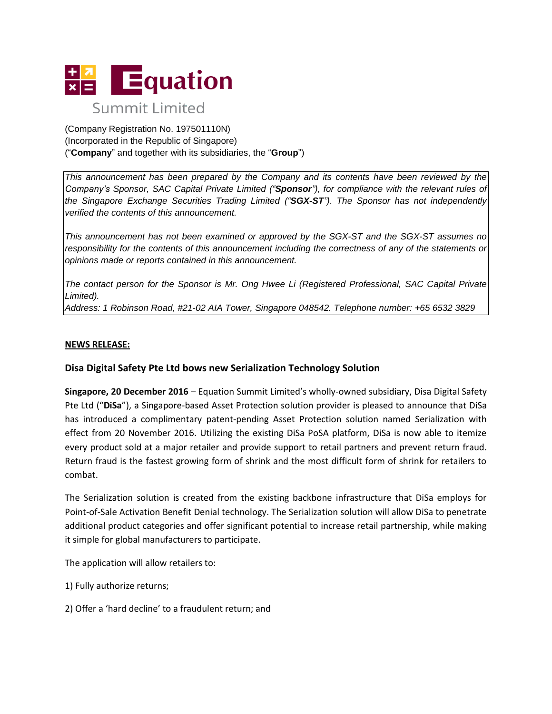

(Company Registration No. 197501110N) (Incorporated in the Republic of Singapore) ("**Company**" and together with its subsidiaries, the "**Group**")

*This announcement has been prepared by the Company and its contents have been reviewed by the Company's Sponsor, SAC Capital Private Limited ("Sponsor"), for compliance with the relevant rules of the Singapore Exchange Securities Trading Limited ("SGX-ST"). The Sponsor has not independently verified the contents of this announcement.*

*This announcement has not been examined or approved by the SGX-ST and the SGX-ST assumes no responsibility for the contents of this announcement including the correctness of any of the statements or opinions made or reports contained in this announcement.*

*The contact person for the Sponsor is Mr. Ong Hwee Li (Registered Professional, SAC Capital Private Limited).*

*Address: 1 Robinson Road, #21-02 AIA Tower, Singapore 048542. Telephone number: +65 6532 3829*

# **NEWS RELEASE:**

# **Disa Digital Safety Pte Ltd bows new Serialization Technology Solution**

**Singapore, 20 December 2016** – Equation Summit Limited's wholly-owned subsidiary, Disa Digital Safety Pte Ltd ("**DiSa**"), a Singapore-based Asset Protection solution provider is pleased to announce that DiSa has introduced a complimentary patent-pending Asset Protection solution named Serialization with effect from 20 November 2016. Utilizing the existing DiSa PoSA platform, DiSa is now able to itemize every product sold at a major retailer and provide support to retail partners and prevent return fraud. Return fraud is the fastest growing form of shrink and the most difficult form of shrink for retailers to combat.

The Serialization solution is created from the existing backbone infrastructure that DiSa employs for Point-of-Sale Activation Benefit Denial technology. The Serialization solution will allow DiSa to penetrate additional product categories and offer significant potential to increase retail partnership, while making it simple for global manufacturers to participate.

The application will allow retailers to:

- 1) Fully authorize returns;
- 2) Offer a 'hard decline' to a fraudulent return; and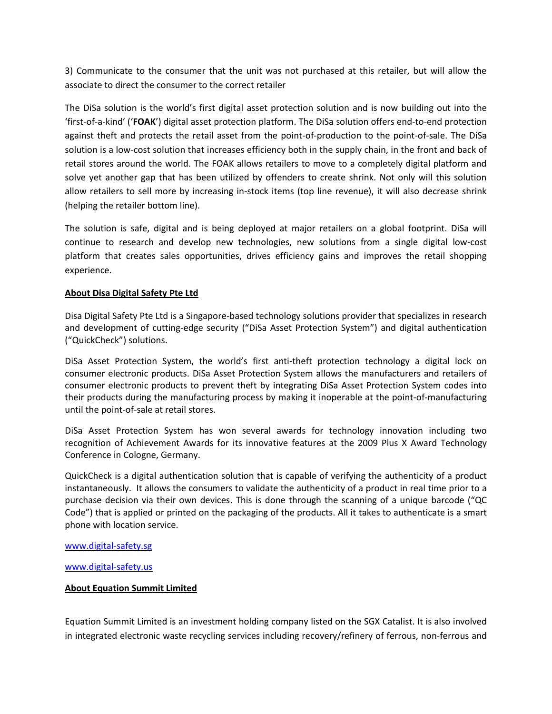3) Communicate to the consumer that the unit was not purchased at this retailer, but will allow the associate to direct the consumer to the correct retailer

The DiSa solution is the world's first digital asset protection solution and is now building out into the 'first-of-a-kind' ('**FOAK**') digital asset protection platform. The DiSa solution offers end-to-end protection against theft and protects the retail asset from the point-of-production to the point-of-sale. The DiSa solution is a low-cost solution that increases efficiency both in the supply chain, in the front and back of retail stores around the world. The FOAK allows retailers to move to a completely digital platform and solve yet another gap that has been utilized by offenders to create shrink. Not only will this solution allow retailers to sell more by increasing in-stock items (top line revenue), it will also decrease shrink (helping the retailer bottom line).

The solution is safe, digital and is being deployed at major retailers on a global footprint. DiSa will continue to research and develop new technologies, new solutions from a single digital low-cost platform that creates sales opportunities, drives efficiency gains and improves the retail shopping experience.

# **About Disa Digital Safety Pte Ltd**

Disa Digital Safety Pte Ltd is a Singapore-based technology solutions provider that specializes in research and development of cutting-edge security ("DiSa Asset Protection System") and digital authentication ("QuickCheck") solutions.

DiSa Asset Protection System, the world's first anti-theft protection technology a digital lock on consumer electronic products. DiSa Asset Protection System allows the manufacturers and retailers of consumer electronic products to prevent theft by integrating DiSa Asset Protection System codes into their products during the manufacturing process by making it inoperable at the point-of-manufacturing until the point-of-sale at retail stores.

DiSa Asset Protection System has won several awards for technology innovation including two recognition of Achievement Awards for its innovative features at the 2009 Plus X Award Technology Conference in Cologne, Germany.

QuickCheck is a digital authentication solution that is capable of verifying the authenticity of a product instantaneously. It allows the consumers to validate the authenticity of a product in real time prior to a purchase decision via their own devices. This is done through the scanning of a unique barcode ("QC Code") that is applied or printed on the packaging of the products. All it takes to authenticate is a smart phone with location service.

## [www.digital-safety.sg](http://www.digital-safety.sg/)

## [www.digital-safety.us](http://www.digital-safety.us/)

# **About Equation Summit Limited**

Equation Summit Limited is an investment holding company listed on the SGX Catalist. It is also involved in integrated electronic waste recycling services including recovery/refinery of ferrous, non-ferrous and